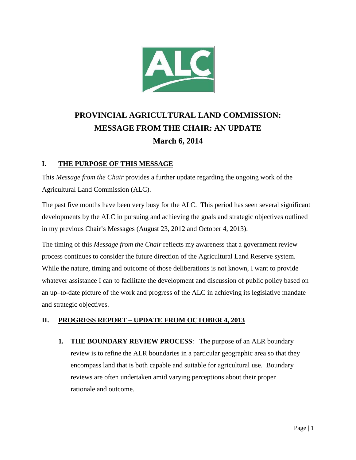

# **PROVINCIAL AGRICULTURAL LAND COMMISSION: MESSAGE FROM THE CHAIR: AN UPDATE March 6, 2014**

### **I. THE PURPOSE OF THIS MESSAGE**

This *Message from the Chair* provides a further update regarding the ongoing work of the Agricultural Land Commission (ALC).

The past five months have been very busy for the ALC. This period has seen several significant developments by the ALC in pursuing and achieving the goals and strategic objectives outlined in my previous Chair's Messages (August 23, 2012 and October 4, 2013).

The timing of this *Message from the Chair* reflects my awareness that a government review process continues to consider the future direction of the Agricultural Land Reserve system. While the nature, timing and outcome of those deliberations is not known, I want to provide whatever assistance I can to facilitate the development and discussion of public policy based on an up–to-date picture of the work and progress of the ALC in achieving its legislative mandate and strategic objectives.

## **II. PROGRESS REPORT – UPDATE FROM OCTOBER 4, 2013**

**1. THE BOUNDARY REVIEW PROCESS**: The purpose of an ALR boundary review is to refine the ALR boundaries in a particular geographic area so that they encompass land that is both capable and suitable for agricultural use. Boundary reviews are often undertaken amid varying perceptions about their proper rationale and outcome.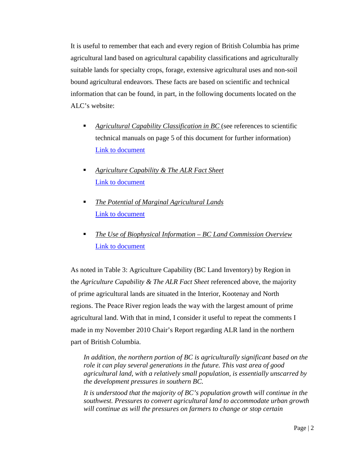It is useful to remember that each and every region of British Columbia has prime agricultural land based on agricultural capability classifications and agriculturally suitable lands for specialty crops, forage, extensive agricultural uses and non-soil bound agricultural endeavors. These facts are based on scientific and technical information that can be found, in part, in the following documents located on the ALC's website:

- *Agricultural Capability Classification in BC* (see references to scientific technical manuals on page 5 of this document for further information) [Link to document](http://www.alc.gov.bc.ca/Reference_and_Resource_Documents/Docs/Agriculture%20Capability%20Classification%20in%20BC.pdf)
- *Agriculture Capability & The ALR Fact Sheet* [Link to document](http://www.alc.gov.bc.ca/Reference_and_Resource_Documents/Docs/Agriculture%20Capability%20&%20The%20ALR%20Fact%20Sheet.pdf)
- *The Potential of Marginal Agricultural Lands* [Link to document](http://www.alc.gov.bc.ca/Reference_and_Resource_Documents/Docs/Marginal%20Ag%20Land%20Potential%20Ministry%20of%20Ag%201978.pdf)
- *The Use of Biophysical Information – BC Land Commission Overview* [Link to document](http://www.alc.gov.bc.ca/Reference_and_Resource_Documents/Docs/Biophysical%20Info-Runka%201976.pdf)

As noted in Table 3: Agriculture Capability (BC Land Inventory) by Region in the *Agriculture Capability & The ALR Fact Sheet* referenced above, the majority of prime agricultural lands are situated in the Interior, Kootenay and North regions. The Peace River region leads the way with the largest amount of prime agricultural land. With that in mind, I consider it useful to repeat the comments I made in my November 2010 Chair's Report regarding ALR land in the northern part of British Columbia.

*In addition, the northern portion of BC is agriculturally significant based on the role it can play several generations in the future. This vast area of good agricultural land, with a relatively small population, is essentially unscarred by the development pressures in southern BC.* 

*It is understood that the majority of BC's population growth will continue in the southwest. Pressures to convert agricultural land to accommodate urban growth will continue as will the pressures on farmers to change or stop certain*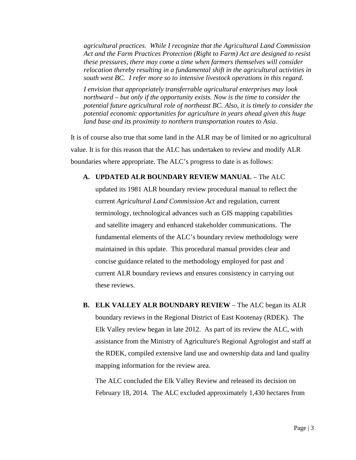*agricultural practices. While I recognize that the Agricultural Land Commission Act and the Farm Practices Protection (Right to Farm) Act are designed to resist these pressures, there may come a time when farmers themselves will consider relocation thereby resulting in a fundamental shift in the agricultural activities in south west BC. I refer more so to intensive livestock operations in this regard.* 

*I envision that appropriately transferrable agricultural enterprises may look northward – but only if the opportunity exists. Now is the time to consider the potential future agricultural role of northeast BC. Also, it is timely to consider the potential economic opportunities for agriculture in years ahead given this huge land base and its proximity to northern transportation routes to Asia.* 

It is of course also true that some land in the ALR may be of limited or no agricultural value. It is for this reason that the ALC has undertaken to review and modify ALR boundaries where appropriate. The ALC's progress to date is as follows:

#### **A. UPDATED ALR BOUNDARY REVIEW MANUAL** – The ALC

updated its 1981 ALR boundary review procedural manual to reflect the current *Agricultural Land Commission Act* and regulation, current terminology, technological advances such as GIS mapping capabilities and satellite imagery and enhanced stakeholder communications. The fundamental elements of the ALC's boundary review methodology were maintained in this update. This procedural manual provides clear and concise guidance related to the methodology employed for past and current ALR boundary reviews and ensures consistency in carrying out these reviews.

**B. ELK VALLEY ALR BOUNDARY REVIEW** – The ALC began its ALR boundary reviews in the Regional District of East Kootenay (RDEK). The Elk Valley review began in late 2012. As part of its review the ALC, with assistance from the Ministry of Agriculture's Regional Agrologist and staff at the RDEK, compiled extensive land use and ownership data and land quality mapping information for the review area.

The ALC concluded the Elk Valley Review and released its decision on February 18, 2014. The ALC excluded approximately 1,430 hectares from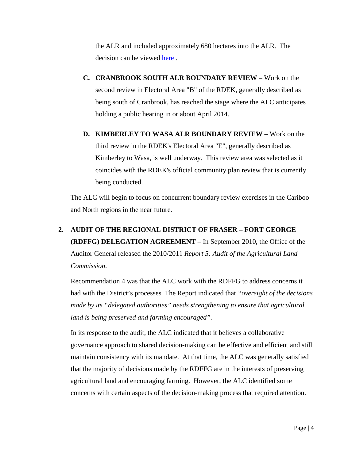the ALR and included approximately 680 hectares into the ALR. The decision can be viewed [here](http://www.alc.gov.bc.ca/Application_Status/Elk%20Valley%20Review/Documents/Complete%20Minutes%20-%2053569%20&%2053570.pdf) .

- **C. CRANBROOK SOUTH ALR BOUNDARY REVIEW** Work on the second review in Electoral Area "B" of the RDEK, generally described as being south of Cranbrook, has reached the stage where the ALC anticipates holding a public hearing in or about April 2014.
- **D. KIMBERLEY TO WASA ALR BOUNDARY REVIEW** Work on the third review in the RDEK's Electoral Area "E", generally described as Kimberley to Wasa, is well underway. This review area was selected as it coincides with the RDEK's official community plan review that is currently being conducted.

The ALC will begin to focus on concurrent boundary review exercises in the Cariboo and North regions in the near future.

**2. AUDIT OF THE REGIONAL DISTRICT OF FRASER – FORT GEORGE (RDFFG) DELEGATION AGREEMENT** – In September 2010, the Office of the Auditor General released the 2010/2011 *Report 5: Audit of the Agricultural Land Commission*.

Recommendation 4 was that the ALC work with the RDFFG to address concerns it had with the District's processes. The Report indicated that *"oversight of the decisions made by its "delegated authorities" needs strengthening to ensure that agricultural land is being preserved and farming encouraged".*

In its response to the audit, the ALC indicated that it believes a collaborative governance approach to shared decision-making can be effective and efficient and still maintain consistency with its mandate. At that time, the ALC was generally satisfied that the majority of decisions made by the RDFFG are in the interests of preserving agricultural land and encouraging farming. However, the ALC identified some concerns with certain aspects of the decision-making process that required attention.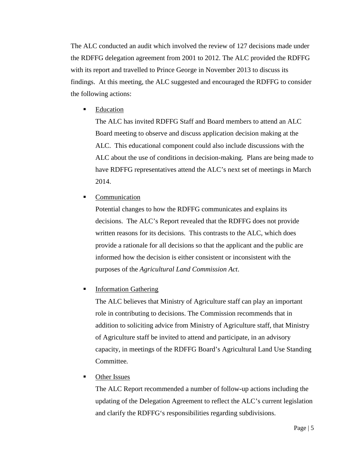The ALC conducted an audit which involved the review of 127 decisions made under the RDFFG delegation agreement from 2001 to 2012. The ALC provided the RDFFG with its report and travelled to Prince George in November 2013 to discuss its findings. At this meeting, the ALC suggested and encouraged the RDFFG to consider the following actions:

Education

The ALC has invited RDFFG Staff and Board members to attend an ALC Board meeting to observe and discuss application decision making at the ALC. This educational component could also include discussions with the ALC about the use of conditions in decision-making. Plans are being made to have RDFFG representatives attend the ALC's next set of meetings in March 2014.

• Communication

Potential changes to how the RDFFG communicates and explains its decisions. The ALC's Report revealed that the RDFFG does not provide written reasons for its decisions. This contrasts to the ALC, which does provide a rationale for all decisions so that the applicant and the public are informed how the decision is either consistent or inconsistent with the purposes of the *Agricultural Land Commission Act*.

### **Information Gathering**

The ALC believes that Ministry of Agriculture staff can play an important role in contributing to decisions. The Commission recommends that in addition to soliciting advice from Ministry of Agriculture staff, that Ministry of Agriculture staff be invited to attend and participate, in an advisory capacity, in meetings of the RDFFG Board's Agricultural Land Use Standing Committee*.* 

• Other Issues

The ALC Report recommended a number of follow-up actions including the updating of the Delegation Agreement to reflect the ALC's current legislation and clarify the RDFFG's responsibilities regarding subdivisions.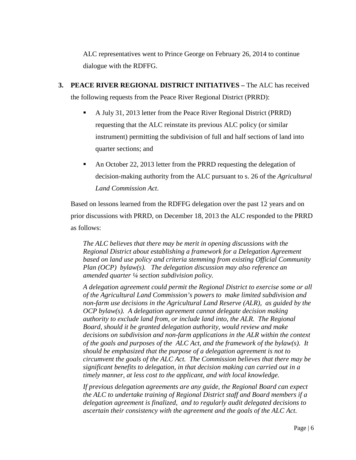ALC representatives went to Prince George on February 26, 2014 to continue dialogue with the RDFFG.

- **3. PEACE RIVER REGIONAL DISTRICT INITIATIVES –** The ALC has received the following requests from the Peace River Regional District (PRRD):
	- A July 31, 2013 letter from the Peace River Regional District (PRRD) requesting that the ALC reinstate its previous ALC policy (or similar instrument) permitting the subdivision of full and half sections of land into quarter sections; and
	- An October 22, 2013 letter from the PRRD requesting the delegation of decision-making authority from the ALC pursuant to s. 26 of the *Agricultural Land Commission Act*.

Based on lessons learned from the RDFFG delegation over the past 12 years and on prior discussions with PRRD, on December 18, 2013 the ALC responded to the PRRD as follows:

*The ALC believes that there may be merit in opening discussions with the Regional District about establishing a framework for a Delegation Agreement based on land use policy and criteria stemming from existing Official Community Plan (OCP) bylaw(s). The delegation discussion may also reference an amended quarter ¼ section subdivision policy.*

*A delegation agreement could permit the Regional District to exercise some or all of the Agricultural Land Commission's powers to make limited subdivision and non-farm use decisions in the Agricultural Land Reserve (ALR), as guided by the OCP bylaw(s). A delegation agreement cannot delegate decision making authority to exclude land from, or include land into, the ALR. The Regional Board, should it be granted delegation authority, would review and make decisions on subdivision and non-farm applications in the ALR within the context of the goals and purposes of the ALC Act, and the framework of the bylaw(s). It should be emphasized that the purpose of a delegation agreement is not to circumvent the goals of the ALC Act. The Commission believes that there may be significant benefits to delegation, in that decision making can carried out in a timely manner, at less cost to the applicant, and with local knowledge.*

*If previous delegation agreements are any guide, the Regional Board can expect the ALC to undertake training of Regional District staff and Board members if a delegation agreement is finalized, and to regularly audit delegated decisions to ascertain their consistency with the agreement and the goals of the ALC Act.*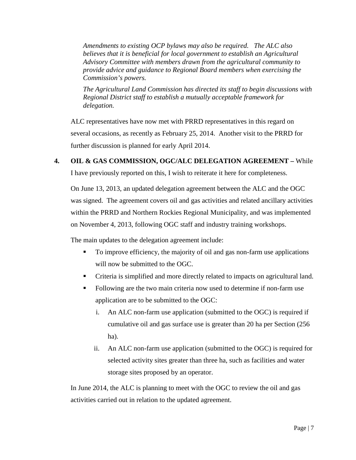*Amendments to existing OCP bylaws may also be required. The ALC also believes that it is beneficial for local government to establish an Agricultural Advisory Committee with members drawn from the agricultural community to provide advice and guidance to Regional Board members when exercising the Commission's powers.* 

*The Agricultural Land Commission has directed its staff to begin discussions with Regional District staff to establish a mutually acceptable framework for delegation.*

ALC representatives have now met with PRRD representatives in this regard on several occasions, as recently as February 25, 2014. Another visit to the PRRD for further discussion is planned for early April 2014.

### **4. OIL & GAS COMMISSION, OGC/ALC DELEGATION AGREEMENT –** While

I have previously reported on this, I wish to reiterate it here for completeness.

On June 13, 2013, an updated delegation agreement between the ALC and the OGC was signed. The agreement covers oil and gas activities and related ancillary activities within the PRRD and Northern Rockies Regional Municipality, and was implemented on November 4, 2013, following OGC staff and industry training workshops.

The main updates to the delegation agreement include:

- To improve efficiency, the majority of oil and gas non-farm use applications will now be submitted to the OGC.
- Criteria is simplified and more directly related to impacts on agricultural land.
- Following are the two main criteria now used to determine if non-farm use application are to be submitted to the OGC:
	- i. An ALC non-farm use application (submitted to the OGC) is required if cumulative oil and gas surface use is greater than 20 ha per Section (256 ha).
	- ii. An ALC non-farm use application (submitted to the OGC) is required for selected activity sites greater than three ha, such as facilities and water storage sites proposed by an operator.

In June 2014, the ALC is planning to meet with the OGC to review the oil and gas activities carried out in relation to the updated agreement.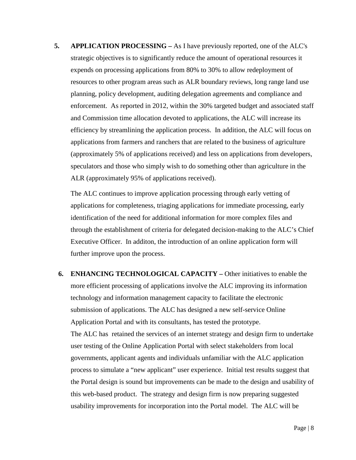**5. APPLICATION PROCESSING –** As I have previously reported, one of the ALC's strategic objectives is to significantly reduce the amount of operational resources it expends on processing applications from 80% to 30% to allow redeployment of resources to other program areas such as ALR boundary reviews, long range land use planning, policy development, auditing delegation agreements and compliance and enforcement. As reported in 2012, within the 30% targeted budget and associated staff and Commission time allocation devoted to applications, the ALC will increase its efficiency by streamlining the application process. In addition, the ALC will focus on applications from farmers and ranchers that are related to the business of agriculture (approximately 5% of applications received) and less on applications from developers, speculators and those who simply wish to do something other than agriculture in the ALR (approximately 95% of applications received).

The ALC continues to improve application processing through early vetting of applications for completeness, triaging applications for immediate processing, early identification of the need for additional information for more complex files and through the establishment of criteria for delegated decision-making to the ALC's Chief Executive Officer. In additon, the introduction of an online application form will further improve upon the process.

**6. ENHANCING TECHNOLOGICAL CAPACITY –** Other initiatives to enable the more efficient processing of applications involve the ALC improving its information technology and information management capacity to facilitate the electronic submission of applications. The ALC has designed a new self-service Online Application Portal and with its consultants, has tested the prototype. The ALC has retained the services of an internet strategy and design firm to undertake user testing of the Online Application Portal with select stakeholders from local governments, applicant agents and individuals unfamiliar with the ALC application process to simulate a "new applicant" user experience. Initial test results suggest that the Portal design is sound but improvements can be made to the design and usability of this web-based product. The strategy and design firm is now preparing suggested usability improvements for incorporation into the Portal model. The ALC will be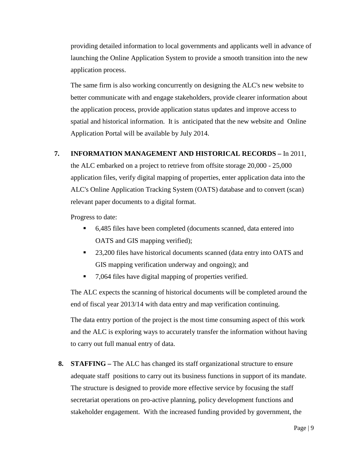providing detailed information to local governments and applicants well in advance of launching the Online Application System to provide a smooth transition into the new application process.

The same firm is also working concurrently on designing the ALC's new website to better communicate with and engage stakeholders, provide clearer information about the application process, provide application status updates and improve access to spatial and historical information. It is anticipated that the new website and Online Application Portal will be available by July 2014.

### **7. INFORMATION MANAGEMENT AND HISTORICAL RECORDS –** In 2011,

the ALC embarked on a project to retrieve from offsite storage 20,000 - 25,000 application files, verify digital mapping of properties, enter application data into the ALC's Online Application Tracking System (OATS) database and to convert (scan) relevant paper documents to a digital format.

Progress to date:

- 6,485 files have been completed (documents scanned, data entered into OATS and GIS mapping verified);
- 23,200 files have historical documents scanned (data entry into OATS and GIS mapping verification underway and ongoing); and
- 7,064 files have digital mapping of properties verified.

The ALC expects the scanning of historical documents will be completed around the end of fiscal year 2013/14 with data entry and map verification continuing.

The data entry portion of the project is the most time consuming aspect of this work and the ALC is exploring ways to accurately transfer the information without having to carry out full manual entry of data.

**8. STAFFING –** The ALC has changed its staff organizational structure to ensure adequate staff positions to carry out its business functions in support of its mandate. The structure is designed to provide more effective service by focusing the staff secretariat operations on pro-active planning, policy development functions and stakeholder engagement. With the increased funding provided by government, the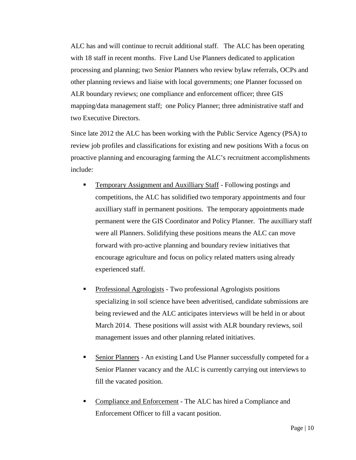ALC has and will continue to recruit additional staff. The ALC has been operating with 18 staff in recent months. Five Land Use Planners dedicated to application processing and planning; two Senior Planners who review bylaw referrals, OCPs and other planning reviews and liaise with local governments; one Planner focussed on ALR boundary reviews; one compliance and enforcement officer; three GIS mapping/data management staff; one Policy Planner; three administrative staff and two Executive Directors.

Since late 2012 the ALC has been working with the Public Service Agency (PSA) to review job profiles and classifications for existing and new positions With a focus on proactive planning and encouraging farming the ALC's recruitment accomplishments include:

- **Temporary Assignment and Auxilliary Staff Following postings and** competitions, the ALC has solidified two temporary appointments and four auxilliary staff in permanent positions. The temporary appointments made permanent were the GIS Coordinator and Policy Planner. The auxilliary staff were all Planners. Solidifying these positions means the ALC can move forward with pro-active planning and boundary review initiatives that encourage agriculture and focus on policy related matters using already experienced staff.
- Professional Agrologists Two professional Agrologists positions specializing in soil science have been adveritised, candidate submissions are being reviewed and the ALC anticipates interviews will be held in or about March 2014. These positions will assist with ALR boundary reviews, soil management issues and other planning related initiatives.
- Senior Planners An existing Land Use Planner successfully competed for a Senior Planner vacancy and the ALC is currently carrying out interviews to fill the vacated position.
- **Compliance and Enforcement** The ALC has hired a Compliance and Enforcement Officer to fill a vacant position.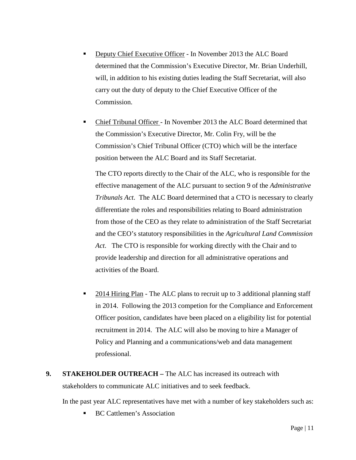- Deputy Chief Executive Officer In November 2013 the ALC Board determined that the Commission's Executive Director, Mr. Brian Underhill, will, in addition to his existing duties leading the Staff Secretariat, will also carry out the duty of deputy to the Chief Executive Officer of the Commission.
- Chief Tribunal Officer In November 2013 the ALC Board determined that the Commission's Executive Director, Mr. Colin Fry, will be the Commission's Chief Tribunal Officer (CTO) which will be the interface position between the ALC Board and its Staff Secretariat.

The CTO reports directly to the Chair of the ALC, who is responsible for the effective management of the ALC pursuant to section 9 of the *Administrative Tribunals Act*. The ALC Board determined that a CTO is necessary to clearly differentiate the roles and responsibilities relating to Board administration from those of the CEO as they relate to administration of the Staff Secretariat and the CEO's statutory responsibilities in the *Agricultural Land Commission Act*. The CTO is responsible for working directly with the Chair and to provide leadership and direction for all administrative operations and activities of the Board.

- 2014 Hiring Plan The ALC plans to recruit up to 3 additional planning staff in 2014. Following the 2013 competion for the Compliance and Enforcement Officer position, candidates have been placed on a eligibility list for potential recruitment in 2014. The ALC will also be moving to hire a Manager of Policy and Planning and a communications/web and data management professional.
- **9. STAKEHOLDER OUTREACH –** The ALC has increased its outreach with stakeholders to communicate ALC initiatives and to seek feedback.

In the past year ALC representatives have met with a number of key stakeholders such as:

BC Cattlemen's Association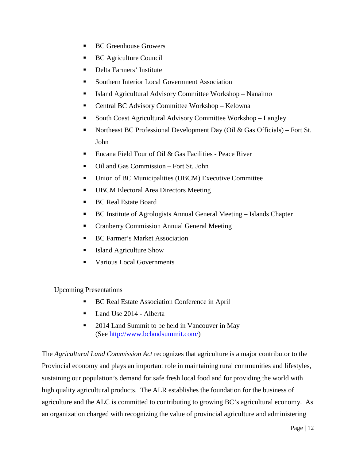- BC Greenhouse Growers
- BC Agriculture Council
- **Delta Farmers' Institute**
- Southern Interior Local Government Association
- Island Agricultural Advisory Committee Workshop Nanaimo
- Central BC Advisory Committee Workshop Kelowna
- South Coast Agricultural Advisory Committee Workshop Langley
- Northeast BC Professional Development Day (Oil & Gas Officials) Fort St. John
- Encana Field Tour of Oil & Gas Facilities Peace River
- Oil and Gas Commission Fort St. John
- Union of BC Municipalities (UBCM) Executive Committee
- **UBCM Electoral Area Directors Meeting**
- BC Real Estate Board
- BC Institute of Agrologists Annual General Meeting Islands Chapter
- **Example 2.5 Cranberry Commission Annual General Meeting**
- BC Farmer's Market Association
- Island Agriculture Show
- **Various Local Governments**

### Upcoming Presentations

- BC Real Estate Association Conference in April
- Land Use 2014 Alberta
- 2014 Land Summit to be held in Vancouver in May (See [http://www.bclandsummit.com/\)](http://www.bclandsummit.com/)

The *Agricultural Land Commission Act* recognizes that agriculture is a major contributor to the Provincial economy and plays an important role in maintaining rural communities and lifestyles, sustaining our population's demand for safe fresh local food and for providing the world with high quality agricultural products. The ALR establishes the foundation for the business of agriculture and the ALC is committed to contributing to growing BC's agricultural economy. As an organization charged with recognizing the value of provincial agriculture and administering